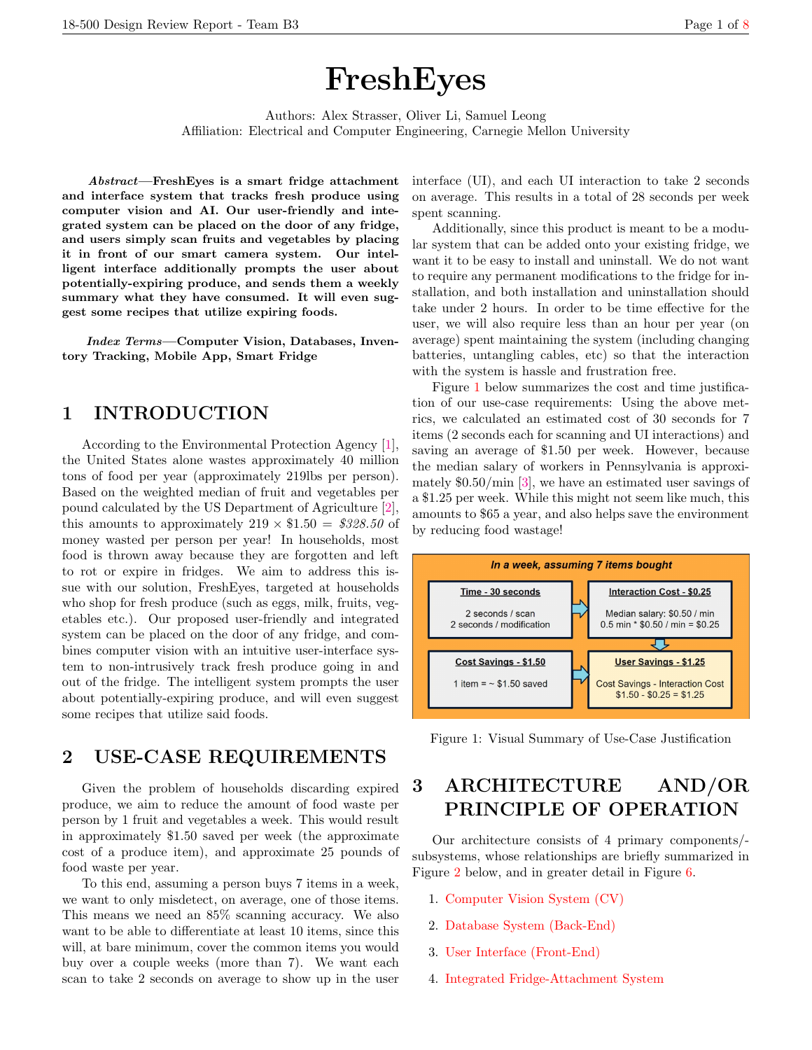# FreshEyes

Authors: Alex Strasser, Oliver Li, Samuel Leong Affiliation: Electrical and Computer Engineering, Carnegie Mellon University

Abstract—FreshEyes is a smart fridge attachment and interface system that tracks fresh produce using computer vision and AI. Our user-friendly and integrated system can be placed on the door of any fridge, and users simply scan fruits and vegetables by placing it in front of our smart camera system. Our intelligent interface additionally prompts the user about potentially-expiring produce, and sends them a weekly summary what they have consumed. It will even suggest some recipes that utilize expiring foods.

Index Terms—Computer Vision, Databases, Inventory Tracking, Mobile App, Smart Fridge

# 1 INTRODUCTION

According to the Environmental Protection Agency [\[1\]](#page-7-1), the United States alone wastes approximately 40 million tons of food per year (approximately 219lbs per person). Based on the weighted median of fruit and vegetables per pound calculated by the US Department of Agriculture [\[2\]](#page-7-2), this amounts to approximately  $219 \times $1.50 = $328.50$  of money wasted per person per year! In households, most food is thrown away because they are forgotten and left to rot or expire in fridges. We aim to address this issue with our solution, FreshEyes, targeted at households who shop for fresh produce (such as eggs, milk, fruits, vegetables etc.). Our proposed user-friendly and integrated system can be placed on the door of any fridge, and combines computer vision with an intuitive user-interface system to non-intrusively track fresh produce going in and out of the fridge. The intelligent system prompts the user about potentially-expiring produce, and will even suggest some recipes that utilize said foods.

# <span id="page-0-1"></span>2 USE-CASE REQUIREMENTS

Given the problem of households discarding expired produce, we aim to reduce the amount of food waste per person by 1 fruit and vegetables a week. This would result in approximately \$1.50 saved per week (the approximate cost of a produce item), and approximate 25 pounds of food waste per year.

To this end, assuming a person buys 7 items in a week, we want to only misdetect, on average, one of those items. This means we need an 85% scanning accuracy. We also want to be able to differentiate at least 10 items, since this will, at bare minimum, cover the common items you would buy over a couple weeks (more than 7). We want each scan to take 2 seconds on average to show up in the user interface (UI), and each UI interaction to take 2 seconds on average. This results in a total of 28 seconds per week spent scanning.

Additionally, since this product is meant to be a modular system that can be added onto your existing fridge, we want it to be easy to install and uninstall. We do not want to require any permanent modifications to the fridge for installation, and both installation and uninstallation should take under 2 hours. In order to be time effective for the user, we will also require less than an hour per year (on average) spent maintaining the system (including changing batteries, untangling cables, etc) so that the interaction with the system is hassle and frustration free.

Figure [1](#page-0-0) below summarizes the cost and time justification of our use-case requirements: Using the above metrics, we calculated an estimated cost of 30 seconds for 7 items (2 seconds each for scanning and UI interactions) and saving an average of \$1.50 per week. However, because the median salary of workers in Pennsylvania is approximately \$0.50/min [\[3\]](#page-7-3), we have an estimated user savings of a \$1.25 per week. While this might not seem like much, this amounts to \$65 a year, and also helps save the environment by reducing food wastage!

<span id="page-0-0"></span>

Figure 1: Visual Summary of Use-Case Justification

# 3 ARCHITECTURE AND/OR PRINCIPLE OF OPERATION

Our architecture consists of 4 primary components/ subsystems, whose relationships are briefly summarized in Figure [2](#page-1-0) below, and in greater detail in Figure [6.](#page-8-0)

- 1. [Computer Vision System \(CV\)](#page-1-1)
- 2. [Database System \(Back-End\)](#page-1-2)
- 3. [User Interface \(Front-End\)](#page-1-3)
- 4. [Integrated Fridge-Attachment System](#page-1-4)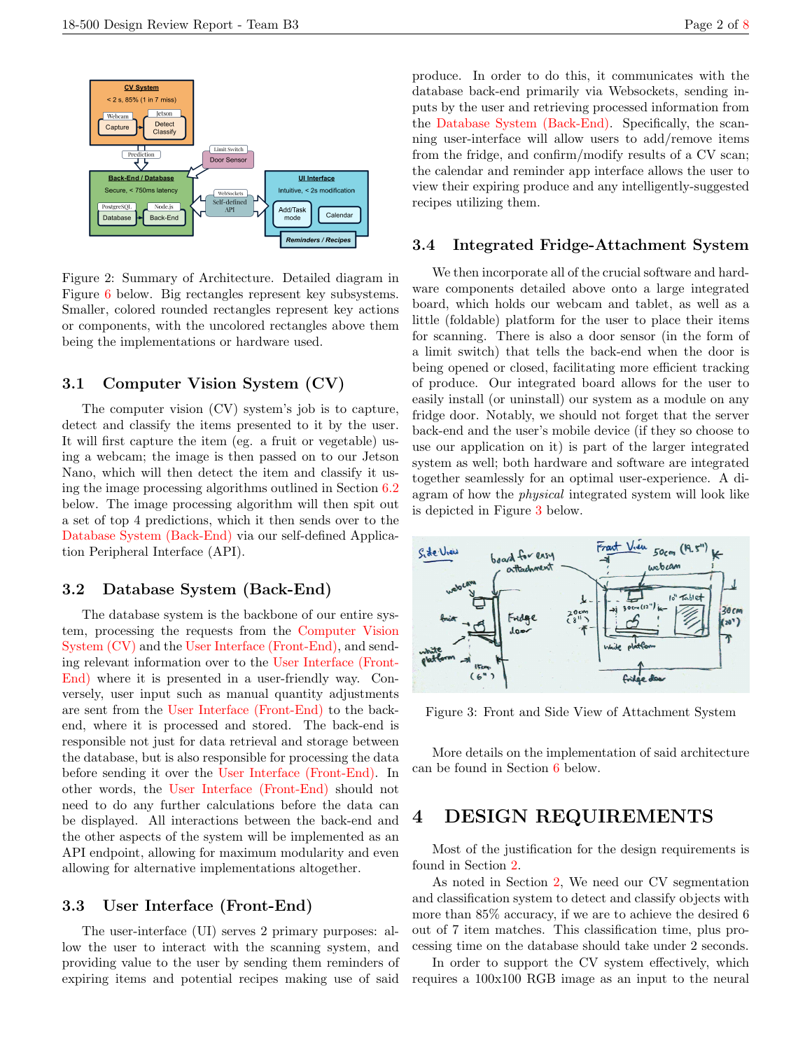<span id="page-1-0"></span>

Figure 2: Summary of Architecture. Detailed diagram in Figure [6](#page-8-0) below. Big rectangles represent key subsystems. Smaller, colored rounded rectangles represent key actions or components, with the uncolored rectangles above them being the implementations or hardware used.

## <span id="page-1-1"></span>3.1 Computer Vision System (CV)

The computer vision (CV) system's job is to capture, detect and classify the items presented to it by the user. It will first capture the item (eg. a fruit or vegetable) using a webcam; the image is then passed on to our Jetson Nano, which will then detect the item and classify it using the image processing algorithms outlined in Section [6.2](#page-3-0) below. The image processing algorithm will then spit out a set of top 4 predictions, which it then sends over to the [Database System \(Back-End\)](#page-1-2) via our self-defined Application Peripheral Interface (API).

## <span id="page-1-2"></span>3.2 Database System (Back-End)

The database system is the backbone of our entire system, processing the requests from the [Computer Vision](#page-1-1) [System \(CV\)](#page-1-1) and the [User Interface \(Front-End\),](#page-1-3) and sending relevant information over to the [User Interface \(Front-](#page-1-3)[End\)](#page-1-3) where it is presented in a user-friendly way. Conversely, user input such as manual quantity adjustments are sent from the [User Interface \(Front-End\)](#page-1-3) to the backend, where it is processed and stored. The back-end is responsible not just for data retrieval and storage between the database, but is also responsible for processing the data before sending it over the [User Interface \(Front-End\).](#page-1-3) In other words, the [User Interface \(Front-End\)](#page-1-3) should not need to do any further calculations before the data can be displayed. All interactions between the back-end and the other aspects of the system will be implemented as an API endpoint, allowing for maximum modularity and even allowing for alternative implementations altogether.

## <span id="page-1-3"></span>3.3 User Interface (Front-End)

The user-interface (UI) serves 2 primary purposes: allow the user to interact with the scanning system, and providing value to the user by sending them reminders of expiring items and potential recipes making use of said produce. In order to do this, it communicates with the database back-end primarily via Websockets, sending inputs by the user and retrieving processed information from the [Database System \(Back-End\).](#page-1-2) Specifically, the scanning user-interface will allow users to add/remove items from the fridge, and confirm/modify results of a CV scan; the calendar and reminder app interface allows the user to view their expiring produce and any intelligently-suggested recipes utilizing them.

## <span id="page-1-4"></span>3.4 Integrated Fridge-Attachment System

We then incorporate all of the crucial software and hardware components detailed above onto a large integrated board, which holds our webcam and tablet, as well as a little (foldable) platform for the user to place their items for scanning. There is also a door sensor (in the form of a limit switch) that tells the back-end when the door is being opened or closed, facilitating more efficient tracking of produce. Our integrated board allows for the user to easily install (or uninstall) our system as a module on any fridge door. Notably, we should not forget that the server back-end and the user's mobile device (if they so choose to use our application on it) is part of the larger integrated system as well; both hardware and software are integrated together seamlessly for an optimal user-experience. A diagram of how the physical integrated system will look like is depicted in Figure [3](#page-1-5) below.

<span id="page-1-5"></span>

Figure 3: Front and Side View of Attachment System

More details on the implementation of said architecture can be found in Section [6](#page-3-1) below.

# 4 DESIGN REQUIREMENTS

Most of the justification for the design requirements is found in Section [2.](#page-0-1)

As noted in Section [2,](#page-0-1) We need our CV segmentation and classification system to detect and classify objects with more than 85% accuracy, if we are to achieve the desired 6 out of 7 item matches. This classification time, plus processing time on the database should take under 2 seconds.

In order to support the CV system effectively, which requires a 100x100 RGB image as an input to the neural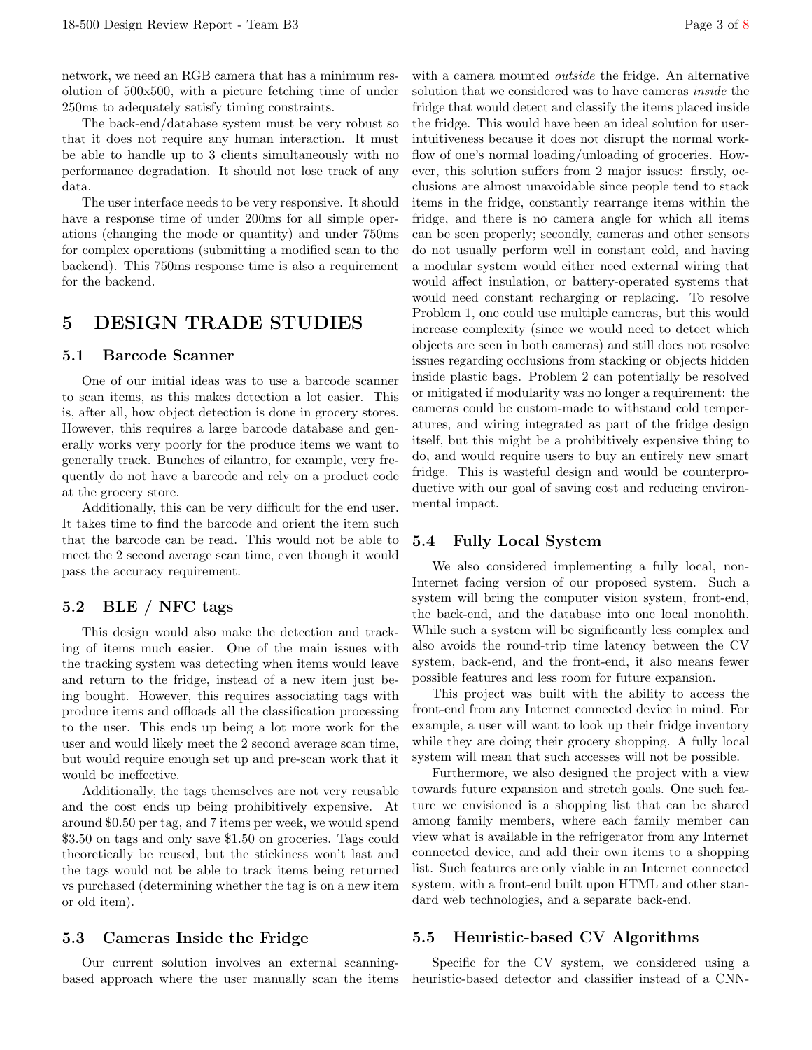network, we need an RGB camera that has a minimum resolution of 500x500, with a picture fetching time of under 250ms to adequately satisfy timing constraints.

The back-end/database system must be very robust so that it does not require any human interaction. It must be able to handle up to 3 clients simultaneously with no performance degradation. It should not lose track of any data.

The user interface needs to be very responsive. It should have a response time of under 200ms for all simple operations (changing the mode or quantity) and under 750ms for complex operations (submitting a modified scan to the backend). This 750ms response time is also a requirement for the backend.

# 5 DESIGN TRADE STUDIES

#### <span id="page-2-1"></span>5.1 Barcode Scanner

One of our initial ideas was to use a barcode scanner to scan items, as this makes detection a lot easier. This is, after all, how object detection is done in grocery stores. However, this requires a large barcode database and generally works very poorly for the produce items we want to generally track. Bunches of cilantro, for example, very frequently do not have a barcode and rely on a product code at the grocery store.

Additionally, this can be very difficult for the end user. It takes time to find the barcode and orient the item such that the barcode can be read. This would not be able to meet the 2 second average scan time, even though it would pass the accuracy requirement.

# 5.2 BLE / NFC tags

This design would also make the detection and tracking of items much easier. One of the main issues with the tracking system was detecting when items would leave and return to the fridge, instead of a new item just being bought. However, this requires associating tags with produce items and offloads all the classification processing to the user. This ends up being a lot more work for the user and would likely meet the 2 second average scan time, but would require enough set up and pre-scan work that it would be ineffective.

Additionally, the tags themselves are not very reusable and the cost ends up being prohibitively expensive. At around \$0.50 per tag, and 7 items per week, we would spend \$3.50 on tags and only save \$1.50 on groceries. Tags could theoretically be reused, but the stickiness won't last and the tags would not be able to track items being returned vs purchased (determining whether the tag is on a new item or old item).

## <span id="page-2-0"></span>5.3 Cameras Inside the Fridge

Our current solution involves an external scanningbased approach where the user manually scan the items with a camera mounted *outside* the fridge. An alternative solution that we considered was to have cameras inside the fridge that would detect and classify the items placed inside the fridge. This would have been an ideal solution for userintuitiveness because it does not disrupt the normal workflow of one's normal loading/unloading of groceries. However, this solution suffers from 2 major issues: firstly, occlusions are almost unavoidable since people tend to stack items in the fridge, constantly rearrange items within the fridge, and there is no camera angle for which all items can be seen properly; secondly, cameras and other sensors do not usually perform well in constant cold, and having a modular system would either need external wiring that would affect insulation, or battery-operated systems that would need constant recharging or replacing. To resolve Problem 1, one could use multiple cameras, but this would increase complexity (since we would need to detect which objects are seen in both cameras) and still does not resolve issues regarding occlusions from stacking or objects hidden inside plastic bags. Problem 2 can potentially be resolved or mitigated if modularity was no longer a requirement: the cameras could be custom-made to withstand cold temperatures, and wiring integrated as part of the fridge design itself, but this might be a prohibitively expensive thing to do, and would require users to buy an entirely new smart fridge. This is wasteful design and would be counterproductive with our goal of saving cost and reducing environmental impact.

## 5.4 Fully Local System

We also considered implementing a fully local, non-Internet facing version of our proposed system. Such a system will bring the computer vision system, front-end, the back-end, and the database into one local monolith. While such a system will be significantly less complex and also avoids the round-trip time latency between the CV system, back-end, and the front-end, it also means fewer possible features and less room for future expansion.

This project was built with the ability to access the front-end from any Internet connected device in mind. For example, a user will want to look up their fridge inventory while they are doing their grocery shopping. A fully local system will mean that such accesses will not be possible.

Furthermore, we also designed the project with a view towards future expansion and stretch goals. One such feature we envisioned is a shopping list that can be shared among family members, where each family member can view what is available in the refrigerator from any Internet connected device, and add their own items to a shopping list. Such features are only viable in an Internet connected system, with a front-end built upon HTML and other standard web technologies, and a separate back-end.

## 5.5 Heuristic-based CV Algorithms

Specific for the CV system, we considered using a heuristic-based detector and classifier instead of a CNN-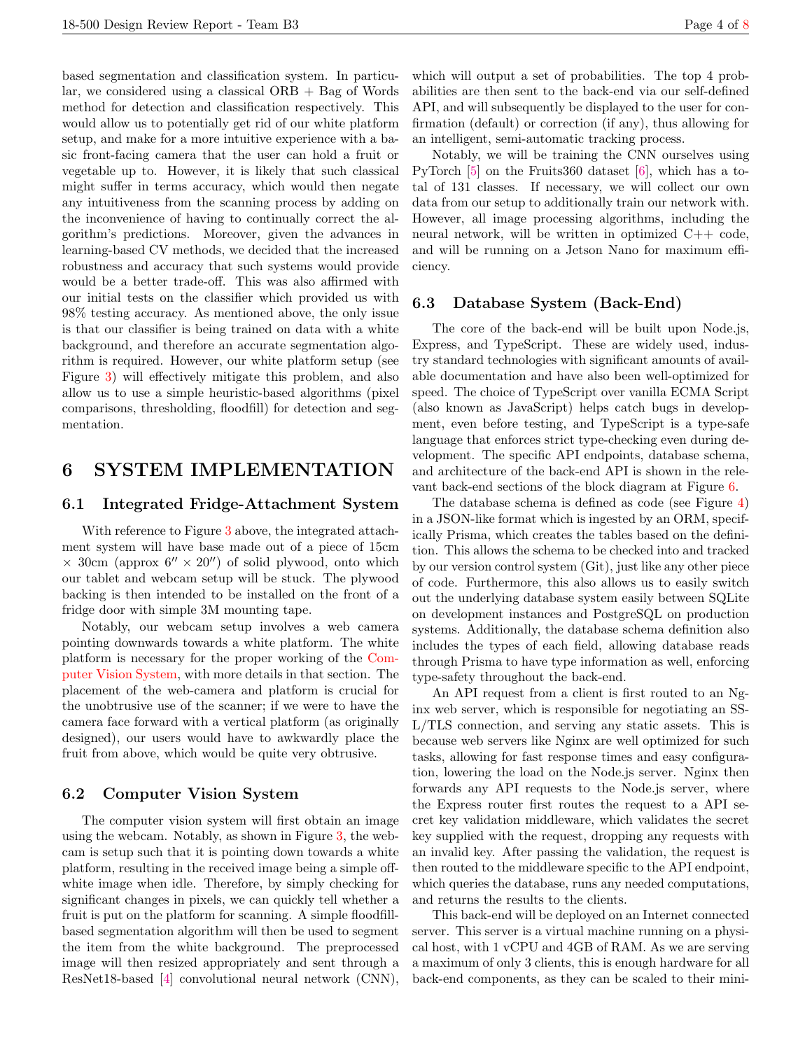based segmentation and classification system. In particular, we considered using a classical  $ORB + Bag$  of Words method for detection and classification respectively. This would allow us to potentially get rid of our white platform setup, and make for a more intuitive experience with a basic front-facing camera that the user can hold a fruit or vegetable up to. However, it is likely that such classical might suffer in terms accuracy, which would then negate any intuitiveness from the scanning process by adding on the inconvenience of having to continually correct the algorithm's predictions. Moreover, given the advances in learning-based CV methods, we decided that the increased robustness and accuracy that such systems would provide would be a better trade-off. This was also affirmed with our initial tests on the classifier which provided us with 98% testing accuracy. As mentioned above, the only issue is that our classifier is being trained on data with a white background, and therefore an accurate segmentation algorithm is required. However, our white platform setup (see Figure [3\)](#page-1-5) will effectively mitigate this problem, and also allow us to use a simple heuristic-based algorithms (pixel comparisons, thresholding, floodfill) for detection and segmentation.

# <span id="page-3-1"></span>6 SYSTEM IMPLEMENTATION

### <span id="page-3-2"></span>6.1 Integrated Fridge-Attachment System

With reference to Figure [3](#page-1-5) above, the integrated attachment system will have base made out of a piece of 15cm  $\times$  30cm (approx 6''  $\times$  20'') of solid plywood, onto which our tablet and webcam setup will be stuck. The plywood backing is then intended to be installed on the front of a fridge door with simple 3M mounting tape.

Notably, our webcam setup involves a web camera pointing downwards towards a white platform. The white platform is necessary for the proper working of the [Com](#page-3-0)[puter Vision System,](#page-3-0) with more details in that section. The placement of the web-camera and platform is crucial for the unobtrusive use of the scanner; if we were to have the camera face forward with a vertical platform (as originally designed), our users would have to awkwardly place the fruit from above, which would be quite very obtrusive.

#### <span id="page-3-0"></span>6.2 Computer Vision System

The computer vision system will first obtain an image using the webcam. Notably, as shown in Figure [3,](#page-1-5) the webcam is setup such that it is pointing down towards a white platform, resulting in the received image being a simple offwhite image when idle. Therefore, by simply checking for significant changes in pixels, we can quickly tell whether a fruit is put on the platform for scanning. A simple floodfillbased segmentation algorithm will then be used to segment the item from the white background. The preprocessed image will then resized appropriately and sent through a ResNet18-based [\[4\]](#page-7-4) convolutional neural network (CNN),

which will output a set of probabilities. The top 4 probabilities are then sent to the back-end via our self-defined API, and will subsequently be displayed to the user for confirmation (default) or correction (if any), thus allowing for an intelligent, semi-automatic tracking process.

Notably, we will be training the CNN ourselves using PyTorch [\[5\]](#page-7-5) on the Fruits360 dataset [\[6\]](#page-7-6), which has a total of 131 classes. If necessary, we will collect our own data from our setup to additionally train our network with. However, all image processing algorithms, including the neural network, will be written in optimized C++ code, and will be running on a Jetson Nano for maximum efficiency.

# <span id="page-3-3"></span>6.3 Database System (Back-End)

The core of the back-end will be built upon Node.js, Express, and TypeScript. These are widely used, industry standard technologies with significant amounts of available documentation and have also been well-optimized for speed. The choice of TypeScript over vanilla ECMA Script (also known as JavaScript) helps catch bugs in development, even before testing, and TypeScript is a type-safe language that enforces strict type-checking even during development. The specific API endpoints, database schema, and architecture of the back-end API is shown in the relevant back-end sections of the block diagram at Figure [6.](#page-8-0)

The database schema is defined as code (see Figure [4\)](#page-4-0) in a JSON-like format which is ingested by an ORM, specifically Prisma, which creates the tables based on the definition. This allows the schema to be checked into and tracked by our version control system (Git), just like any other piece of code. Furthermore, this also allows us to easily switch out the underlying database system easily between SQLite on development instances and PostgreSQL on production systems. Additionally, the database schema definition also includes the types of each field, allowing database reads through Prisma to have type information as well, enforcing type-safety throughout the back-end.

An API request from a client is first routed to an Nginx web server, which is responsible for negotiating an SS-L/TLS connection, and serving any static assets. This is because web servers like Nginx are well optimized for such tasks, allowing for fast response times and easy configuration, lowering the load on the Node.js server. Nginx then forwards any API requests to the Node.js server, where the Express router first routes the request to a API secret key validation middleware, which validates the secret key supplied with the request, dropping any requests with an invalid key. After passing the validation, the request is then routed to the middleware specific to the API endpoint, which queries the database, runs any needed computations, and returns the results to the clients.

This back-end will be deployed on an Internet connected server. This server is a virtual machine running on a physical host, with 1 vCPU and 4GB of RAM. As we are serving a maximum of only 3 clients, this is enough hardware for all back-end components, as they can be scaled to their mini-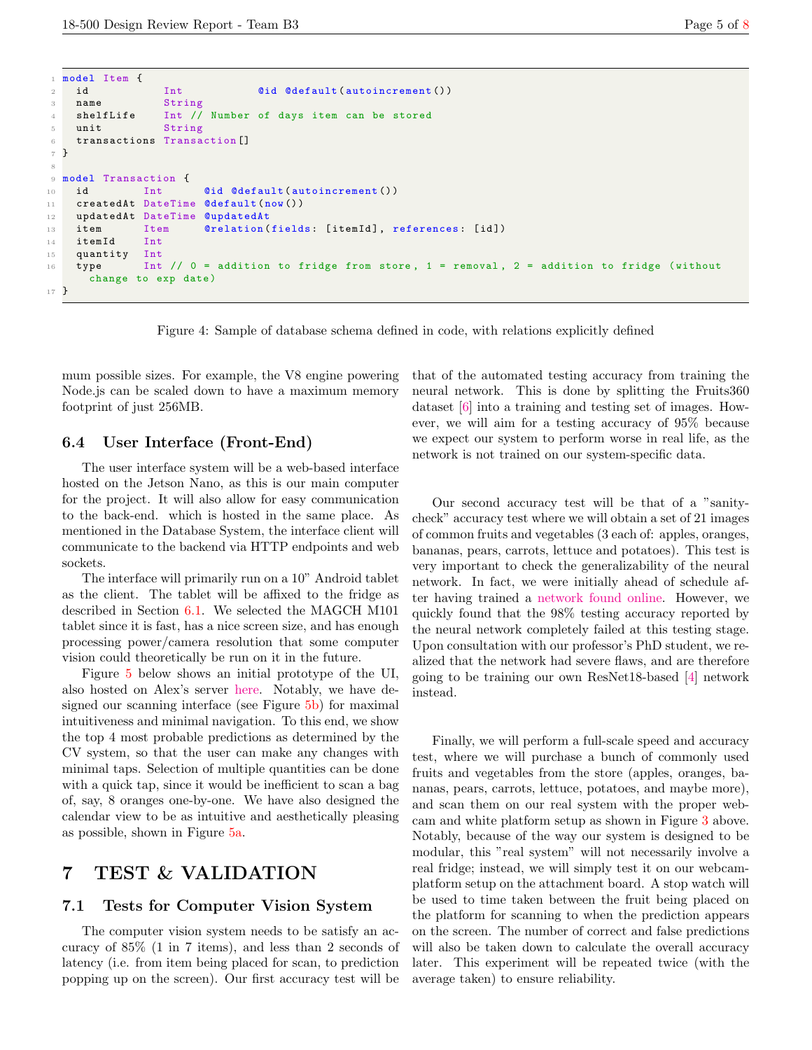```
1 model Item {
2 id Int @id @default (autoincrement ())
3 name String
4 shelfLife Int // Number of days item can be stored
5 unit String
6 transactions Transaction []
7 }
8
9 model Transaction {
10 id Int ©id @default (autoincrement ())
11 createdAt DateTime @default(now())
12 updatedAt DateTime @updatedAt
13 item Item @relation (fields: [itemId], references: [id])
14 itemId Int
15 quantity Int
16 type Int // 0 = addition to fridge from store, 1 = removal, 2 = addition to fridge (withoutchange to exp date )
17 }
```
Figure 4: Sample of database schema defined in code, with relations explicitly defined

mum possible sizes. For example, the V8 engine powering Node.js can be scaled down to have a maximum memory footprint of just 256MB.

#### <span id="page-4-1"></span>6.4 User Interface (Front-End)

The user interface system will be a web-based interface hosted on the Jetson Nano, as this is our main computer for the project. It will also allow for easy communication to the back-end. which is hosted in the same place. As mentioned in the Database System, the interface client will communicate to the backend via HTTP endpoints and web sockets.

The interface will primarily run on a 10" Android tablet as the client. The tablet will be affixed to the fridge as described in Section [6.1.](#page-3-2) We selected the MAGCH M101 tablet since it is fast, has a nice screen size, and has enough processing power/camera resolution that some computer vision could theoretically be run on it in the future.

Figure [5](#page-5-0) below shows an initial prototype of the UI, also hosted on Alex's server [here.](https://capstone.astrasser.com:2096/) Notably, we have designed our scanning interface (see Figure [5b\)](#page-5-1) for maximal intuitiveness and minimal navigation. To this end, we show the top 4 most probable predictions as determined by the CV system, so that the user can make any changes with minimal taps. Selection of multiple quantities can be done with a quick tap, since it would be inefficient to scan a bag of, say, 8 oranges one-by-one. We have also designed the calendar view to be as intuitive and aesthetically pleasing as possible, shown in Figure [5a.](#page-5-2)

# 7 TEST & VALIDATION

#### 7.1 Tests for Computer Vision System

The computer vision system needs to be satisfy an accuracy of 85% (1 in 7 items), and less than 2 seconds of latency (i.e. from item being placed for scan, to prediction popping up on the screen). Our first accuracy test will be

that of the automated testing accuracy from training the neural network. This is done by splitting the Fruits360 dataset [\[6\]](#page-7-6) into a training and testing set of images. However, we will aim for a testing accuracy of 95% because we expect our system to perform worse in real life, as the network is not trained on our system-specific data.

Our second accuracy test will be that of a "sanitycheck" accuracy test where we will obtain a set of 21 images of common fruits and vegetables (3 each of: apples, oranges, bananas, pears, carrots, lettuce and potatoes). This test is very important to check the generalizability of the neural network. In fact, we were initially ahead of schedule after having trained a [network found online.](https://jovian.ai/arnabbhakta956/final-project-assignment) However, we quickly found that the 98% testing accuracy reported by the neural network completely failed at this testing stage. Upon consultation with our professor's PhD student, we realized that the network had severe flaws, and are therefore going to be training our own ResNet18-based [\[4\]](#page-7-4) network instead.

Finally, we will perform a full-scale speed and accuracy test, where we will purchase a bunch of commonly used fruits and vegetables from the store (apples, oranges, bananas, pears, carrots, lettuce, potatoes, and maybe more), and scan them on our real system with the proper webcam and white platform setup as shown in Figure [3](#page-1-5) above. Notably, because of the way our system is designed to be modular, this "real system" will not necessarily involve a real fridge; instead, we will simply test it on our webcamplatform setup on the attachment board. A stop watch will be used to time taken between the fruit being placed on the platform for scanning to when the prediction appears on the screen. The number of correct and false predictions will also be taken down to calculate the overall accuracy later. This experiment will be repeated twice (with the average taken) to ensure reliability.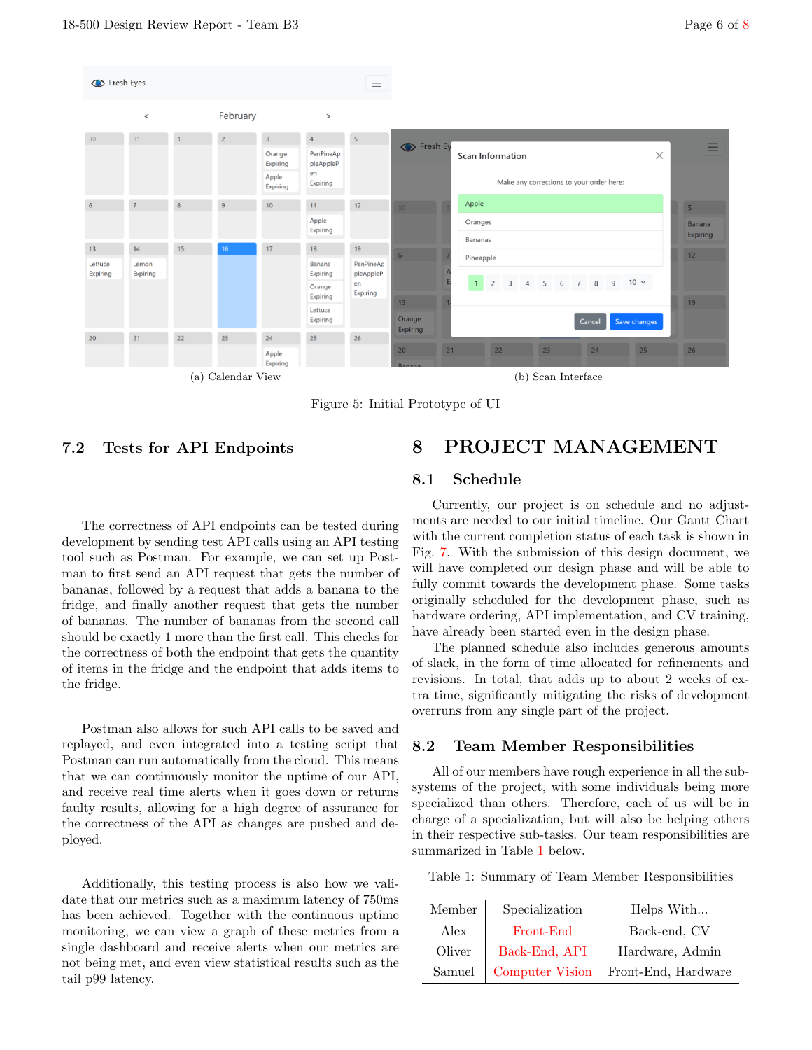<span id="page-5-2"></span><span id="page-5-0"></span>

Figure 5: Initial Prototype of UI

# <span id="page-5-4"></span>7.2 Tests for API Endpoints

The correctness of API endpoints can be tested during development by sending test API calls using an API testing tool such as Postman. For example, we can set up Postman to first send an API request that gets the number of bananas, followed by a request that adds a banana to the fridge, and finally another request that gets the number of bananas. The number of bananas from the second call should be exactly 1 more than the first call. This checks for the correctness of both the endpoint that gets the quantity of items in the fridge and the endpoint that adds items to the fridge.

Postman also allows for such API calls to be saved and replayed, and even integrated into a testing script that Postman can run automatically from the cloud. This means that we can continuously monitor the uptime of our API, and receive real time alerts when it goes down or returns faulty results, allowing for a high degree of assurance for the correctness of the API as changes are pushed and deployed.

Additionally, this testing process is also how we validate that our metrics such as a maximum latency of 750ms has been achieved. Together with the continuous uptime monitoring, we can view a graph of these metrics from a single dashboard and receive alerts when our metrics are not being met, and even view statistical results such as the tail p99 latency.

# <span id="page-5-1"></span>8 PROJECT MANAGEMENT

## 8.1 Schedule

Currently, our project is on schedule and no adjustments are needed to our initial timeline. Our Gantt Chart with the current completion status of each task is shown in Fig. [7.](#page-9-0) With the submission of this design document, we will have completed our design phase and will be able to fully commit towards the development phase. Some tasks originally scheduled for the development phase, such as hardware ordering, API implementation, and CV training, have already been started even in the design phase.

The planned schedule also includes generous amounts of slack, in the form of time allocated for refinements and revisions. In total, that adds up to about 2 weeks of extra time, significantly mitigating the risks of development overruns from any single part of the project.

### 8.2 Team Member Responsibilities

All of our members have rough experience in all the subsystems of the project, with some individuals being more specialized than others. Therefore, each of us will be in charge of a specialization, but will also be helping others in their respective sub-tasks. Our team responsibilities are summarized in Table [1](#page-5-3) below.

<span id="page-5-3"></span>Table 1: Summary of Team Member Responsibilities

| Member | Specialization  | Helps With          |
|--------|-----------------|---------------------|
| Alex   | Front-End       | Back-end, CV        |
| Oliver | Back-End, API   | Hardware, Admin     |
| Samuel | Computer Vision | Front-End, Hardware |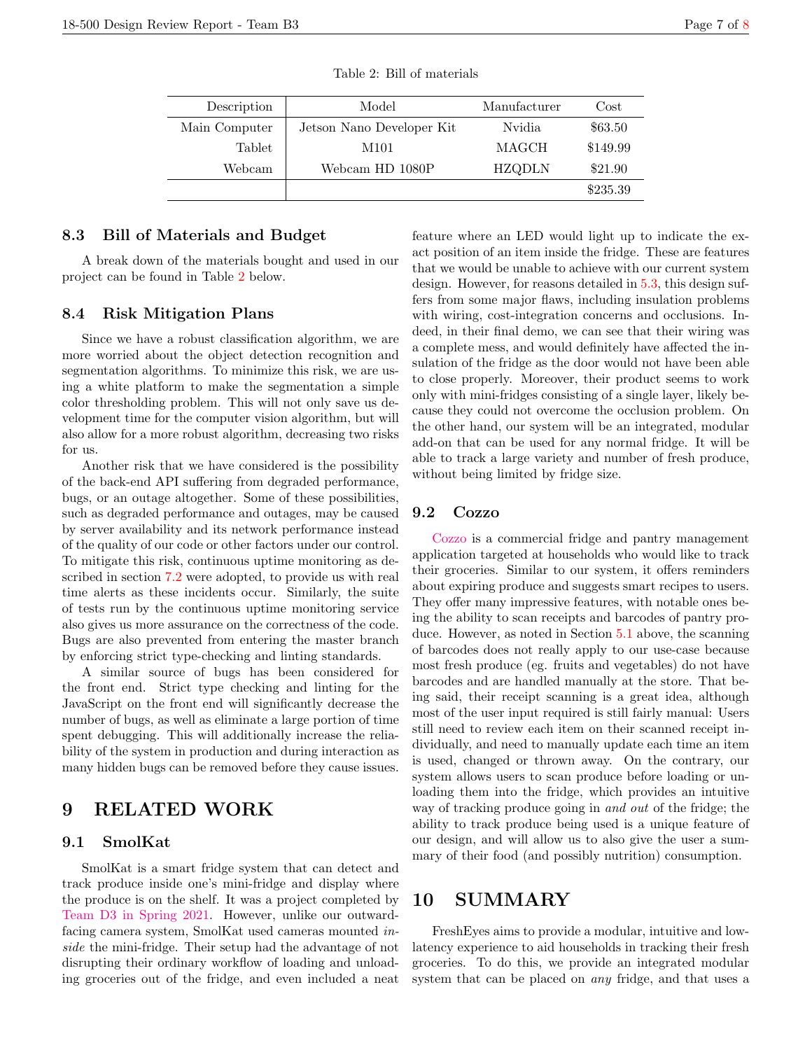Table 2: Bill of materials

## <span id="page-6-0"></span>8.3 Bill of Materials and Budget

A break down of the materials bought and used in our project can be found in Table [2](#page-6-0) below.

#### 8.4 Risk Mitigation Plans

Since we have a robust classification algorithm, we are more worried about the object detection recognition and segmentation algorithms. To minimize this risk, we are using a white platform to make the segmentation a simple color thresholding problem. This will not only save us development time for the computer vision algorithm, but will also allow for a more robust algorithm, decreasing two risks for us.

Another risk that we have considered is the possibility of the back-end API suffering from degraded performance, bugs, or an outage altogether. Some of these possibilities, such as degraded performance and outages, may be caused by server availability and its network performance instead of the quality of our code or other factors under our control. To mitigate this risk, continuous uptime monitoring as described in section [7.2](#page-5-4) were adopted, to provide us with real time alerts as these incidents occur. Similarly, the suite of tests run by the continuous uptime monitoring service also gives us more assurance on the correctness of the code. Bugs are also prevented from entering the master branch by enforcing strict type-checking and linting standards.

A similar source of bugs has been considered for the front end. Strict type checking and linting for the JavaScript on the front end will significantly decrease the number of bugs, as well as eliminate a large portion of time spent debugging. This will additionally increase the reliability of the system in production and during interaction as many hidden bugs can be removed before they cause issues.

# 9 RELATED WORK

# 9.1 SmolKat

SmolKat is a smart fridge system that can detect and track produce inside one's mini-fridge and display where the produce is on the shelf. It was a project completed by [Team D3 in Spring 2021.]( http://course.ece.cmu.edu/~ece500/projects/s21-teamd3/) However, unlike our outwardfacing camera system, SmolKat used cameras mounted inside the mini-fridge. Their setup had the advantage of not disrupting their ordinary workflow of loading and unloading groceries out of the fridge, and even included a neat feature where an LED would light up to indicate the exact position of an item inside the fridge. These are features that we would be unable to achieve with our current system design. However, for reasons detailed in [5.3,](#page-2-0) this design suffers from some major flaws, including insulation problems with wiring, cost-integration concerns and occlusions. Indeed, in their final demo, we can see that their wiring was a complete mess, and would definitely have affected the insulation of the fridge as the door would not have been able to close properly. Moreover, their product seems to work only with mini-fridges consisting of a single layer, likely because they could not overcome the occlusion problem. On the other hand, our system will be an integrated, modular add-on that can be used for any normal fridge. It will be able to track a large variety and number of fresh produce, without being limited by fridge size.

## 9.2 Cozzo

[Cozzo](https://cozzo.app/#features) is a commercial fridge and pantry management application targeted at households who would like to track their groceries. Similar to our system, it offers reminders about expiring produce and suggests smart recipes to users. They offer many impressive features, with notable ones being the ability to scan receipts and barcodes of pantry produce. However, as noted in Section [5.1](#page-2-1) above, the scanning of barcodes does not really apply to our use-case because most fresh produce (eg. fruits and vegetables) do not have barcodes and are handled manually at the store. That being said, their receipt scanning is a great idea, although most of the user input required is still fairly manual: Users still need to review each item on their scanned receipt individually, and need to manually update each time an item is used, changed or thrown away. On the contrary, our system allows users to scan produce before loading or unloading them into the fridge, which provides an intuitive way of tracking produce going in and out of the fridge; the ability to track produce being used is a unique feature of our design, and will allow us to also give the user a summary of their food (and possibly nutrition) consumption.

# 10 SUMMARY

FreshEyes aims to provide a modular, intuitive and lowlatency experience to aid households in tracking their fresh groceries. To do this, we provide an integrated modular system that can be placed on any fridge, and that uses a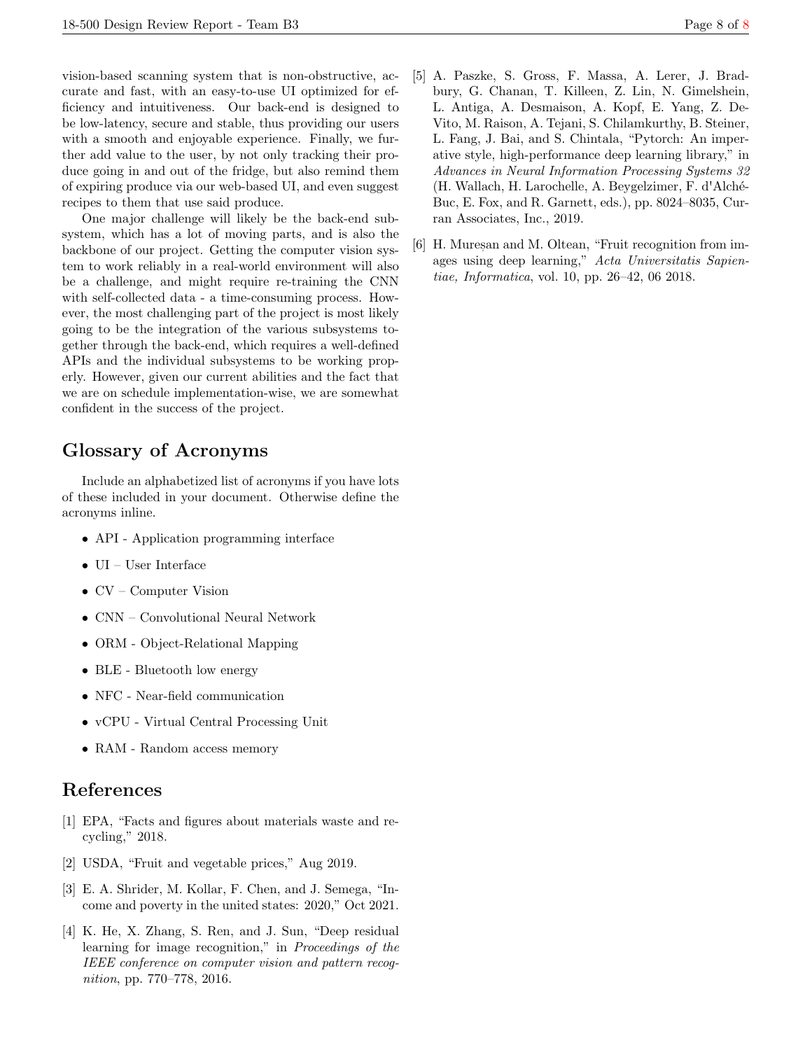vision-based scanning system that is non-obstructive, accurate and fast, with an easy-to-use UI optimized for efficiency and intuitiveness. Our back-end is designed to be low-latency, secure and stable, thus providing our users with a smooth and enjoyable experience. Finally, we further add value to the user, by not only tracking their produce going in and out of the fridge, but also remind them of expiring produce via our web-based UI, and even suggest recipes to them that use said produce.

One major challenge will likely be the back-end subsystem, which has a lot of moving parts, and is also the backbone of our project. Getting the computer vision system to work reliably in a real-world environment will also be a challenge, and might require re-training the CNN with self-collected data - a time-consuming process. However, the most challenging part of the project is most likely going to be the integration of the various subsystems together through the back-end, which requires a well-defined APIs and the individual subsystems to be working properly. However, given our current abilities and the fact that we are on schedule implementation-wise, we are somewhat confident in the success of the project.

# Glossary of Acronyms

Include an alphabetized list of acronyms if you have lots of these included in your document. Otherwise define the acronyms inline.

- API Application programming interface
- UI User Interface
- CV Computer Vision
- CNN Convolutional Neural Network
- ORM Object-Relational Mapping
- BLE Bluetooth low energy
- NFC Near-field communication
- vCPU Virtual Central Processing Unit
- RAM Random access memory

# <span id="page-7-0"></span>References

- <span id="page-7-1"></span>[1] EPA, "Facts and figures about materials waste and recycling," 2018.
- <span id="page-7-2"></span>[2] USDA, "Fruit and vegetable prices," Aug 2019.
- <span id="page-7-3"></span>[3] E. A. Shrider, M. Kollar, F. Chen, and J. Semega, "Income and poverty in the united states: 2020," Oct 2021.
- <span id="page-7-4"></span>[4] K. He, X. Zhang, S. Ren, and J. Sun, "Deep residual learning for image recognition," in Proceedings of the IEEE conference on computer vision and pattern recognition, pp. 770–778, 2016.
- <span id="page-7-5"></span>[5] A. Paszke, S. Gross, F. Massa, A. Lerer, J. Bradbury, G. Chanan, T. Killeen, Z. Lin, N. Gimelshein, L. Antiga, A. Desmaison, A. Kopf, E. Yang, Z. De-Vito, M. Raison, A. Tejani, S. Chilamkurthy, B. Steiner, L. Fang, J. Bai, and S. Chintala, "Pytorch: An imperative style, high-performance deep learning library," in Advances in Neural Information Processing Systems 32 (H. Wallach, H. Larochelle, A. Beygelzimer, F. d'Alché-Buc, E. Fox, and R. Garnett, eds.), pp. 8024–8035, Curran Associates, Inc., 2019.
- <span id="page-7-6"></span>[6] H. Mures, and M. Oltean, "Fruit recognition from images using deep learning," Acta Universitatis Sapientiae, Informatica, vol. 10, pp. 26–42, 06 2018.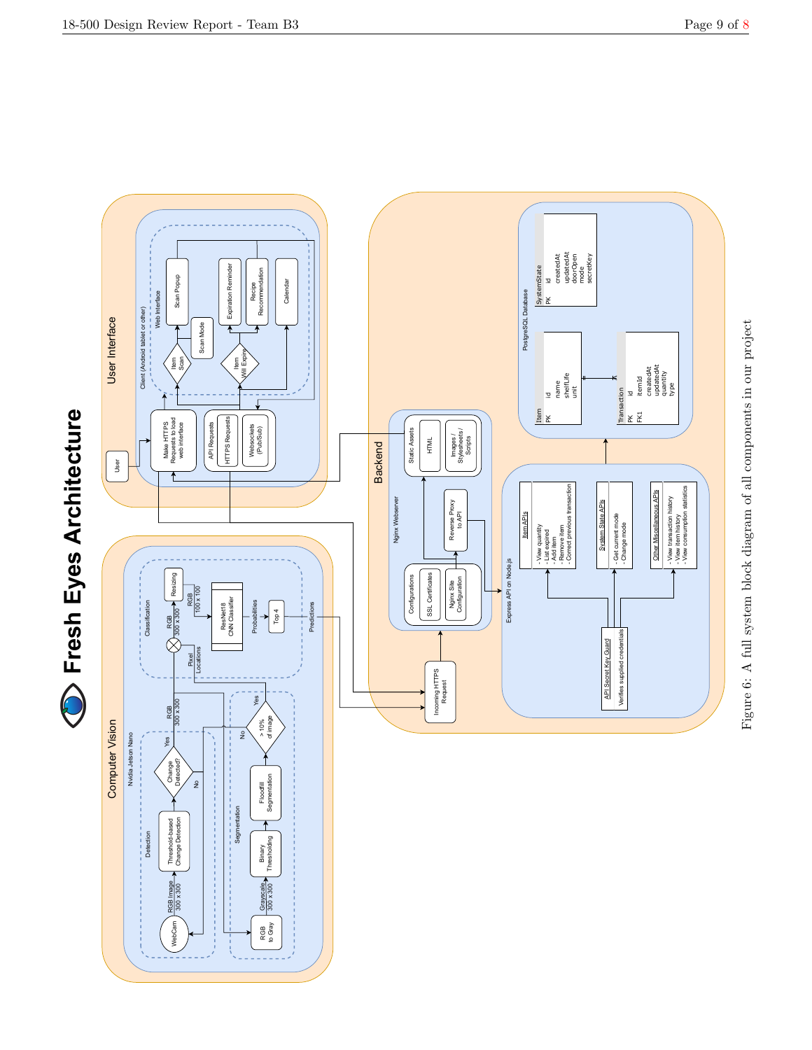

<span id="page-8-0"></span>18-500 Design Review Report - Team B3 Page 9 of [8](#page-7-0)